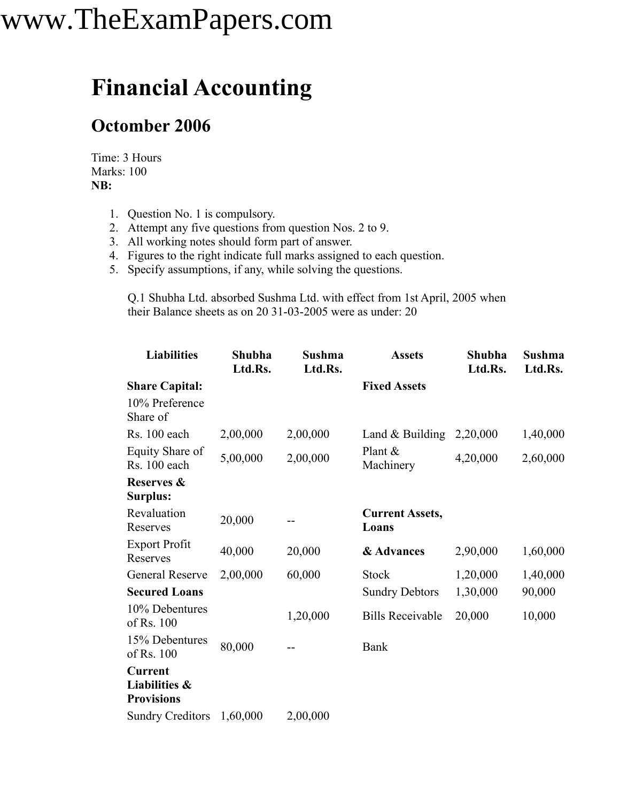#### **Financial Accounting**

#### **Octomber 2006**

Time: 3 Hours Marks: 100 **NB:**

- 1. Question No. 1 is compulsory.
- 2. Attempt any five questions from question Nos. 2 to 9.
- 3. All working notes should form part of answer.
- 4. Figures to the right indicate full marks assigned to each question.
- 5. Specify assumptions, if any, while solving the questions.

Q.1 Shubha Ltd. absorbed Sushma Ltd. with effect from 1st April, 2005 when their Balance sheets as on 20 31-03-2005 were as under: 20

| <b>Liabilities</b>                                       | Shubha<br>Ltd.Rs. | Sushma<br>Ltd.Rs. | <b>Assets</b>                   | Shubha<br>Ltd.Rs. | Sushma<br>Ltd.Rs. |
|----------------------------------------------------------|-------------------|-------------------|---------------------------------|-------------------|-------------------|
| <b>Share Capital:</b>                                    |                   |                   | <b>Fixed Assets</b>             |                   |                   |
| 10% Preference<br>Share of                               |                   |                   |                                 |                   |                   |
| Rs. 100 each                                             | 2,00,000          | 2,00,000          | Land $&$ Building               | 2,20,000          | 1,40,000          |
| Equity Share of<br>Rs. 100 each                          | 5,00,000          | 2,00,000          | Plant &<br>Machinery            | 4,20,000          | 2,60,000          |
| Reserves &                                               |                   |                   |                                 |                   |                   |
| <b>Surplus:</b>                                          |                   |                   |                                 |                   |                   |
| Revaluation<br>Reserves                                  | 20,000            |                   | <b>Current Assets,</b><br>Loans |                   |                   |
| <b>Export Profit</b><br>Reserves                         | 40,000            | 20,000            | & Advances                      | 2,90,000          | 1,60,000          |
| General Reserve                                          | 2,00,000          | 60,000            | <b>Stock</b>                    | 1,20,000          | 1,40,000          |
| <b>Secured Loans</b>                                     |                   |                   | <b>Sundry Debtors</b>           | 1,30,000          | 90,000            |
| 10% Debentures<br>of Rs. 100                             |                   | 1,20,000          | <b>Bills Receivable</b>         | 20,000            | 10,000            |
| 15% Debentures<br>of Rs. 100                             | 80,000            |                   | <b>Bank</b>                     |                   |                   |
| Current<br><b>Liabilities &amp;</b><br><b>Provisions</b> |                   |                   |                                 |                   |                   |
| <b>Sundry Creditors</b>                                  | 1,60,000          | 2,00,000          |                                 |                   |                   |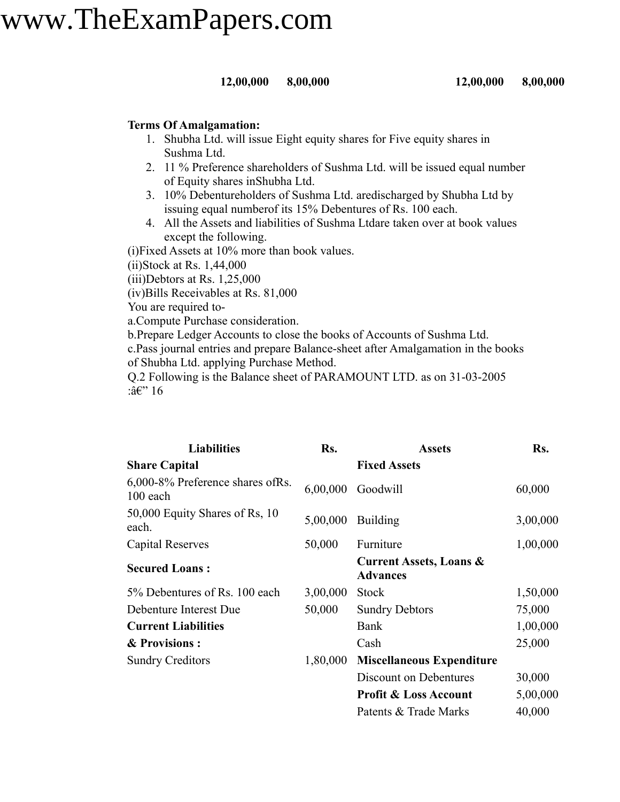**12,00,000 8,00,000 12,00,000 8,00,000**

#### **Terms Of Amalgamation:**

- 1. Shubha Ltd. will issue Eight equity shares for Five equity shares in Sushma Ltd.
- 2. 11 % Preference shareholders of Sushma Ltd. will be issued equal number of Equity shares inShubha Ltd.
- 3. 10% Debentureholders of Sushma Ltd. aredischarged by Shubha Ltd by issuing equal numberof its 15% Debentures of Rs. 100 each.
- 4. All the Assets and liabilities of Sushma Ltdare taken over at book values except the following.

(i)Fixed Assets at 10% more than book values.

(ii)Stock at Rs. 1,44,000

(iii)Debtors at Rs. 1,25,000

(iv)Bills Receivables at Rs. 81,000

You are required to-

a.Compute Purchase consideration.

b.Prepare Ledger Accounts to close the books of Accounts of Sushma Ltd.

c.Pass journal entries and prepare Balance-sheet after Amalgamation in the books of Shubha Ltd. applying Purchase Method.

Q.2 Following is the Balance sheet of PARAMOUNT LTD. as on 31-03-2005 : $\hat{a} \in \mathbb{C}^{\infty}$  16

| <b>Liabilities</b>                             | Rs.      | <b>Assets</b>                                         | Rs.      |  |
|------------------------------------------------|----------|-------------------------------------------------------|----------|--|
| <b>Share Capital</b>                           |          | <b>Fixed Assets</b>                                   |          |  |
| 6,000-8% Preference shares ofRs.<br>$100$ each | 6,00,000 | Goodwill                                              | 60,000   |  |
| 50,000 Equity Shares of Rs, 10<br>each.        | 5,00,000 | <b>Building</b>                                       | 3,00,000 |  |
| Capital Reserves                               | 50,000   | Furniture                                             | 1,00,000 |  |
| <b>Secured Loans:</b>                          |          | <b>Current Assets, Loans &amp;</b><br><b>Advances</b> |          |  |
| 5% Debentures of Rs. 100 each                  | 3,00,000 | <b>Stock</b>                                          | 1,50,000 |  |
| Debenture Interest Due                         | 50,000   | <b>Sundry Debtors</b>                                 | 75,000   |  |
| <b>Current Liabilities</b>                     |          | Bank                                                  | 1,00,000 |  |
| & Provisions:                                  |          | Cash                                                  | 25,000   |  |
| <b>Sundry Creditors</b>                        | 1,80,000 | <b>Miscellaneous Expenditure</b>                      |          |  |
|                                                |          | Discount on Debentures                                | 30,000   |  |
|                                                |          | <b>Profit &amp; Loss Account</b>                      | 5,00,000 |  |
|                                                |          | Patents & Trade Marks                                 | 40,000   |  |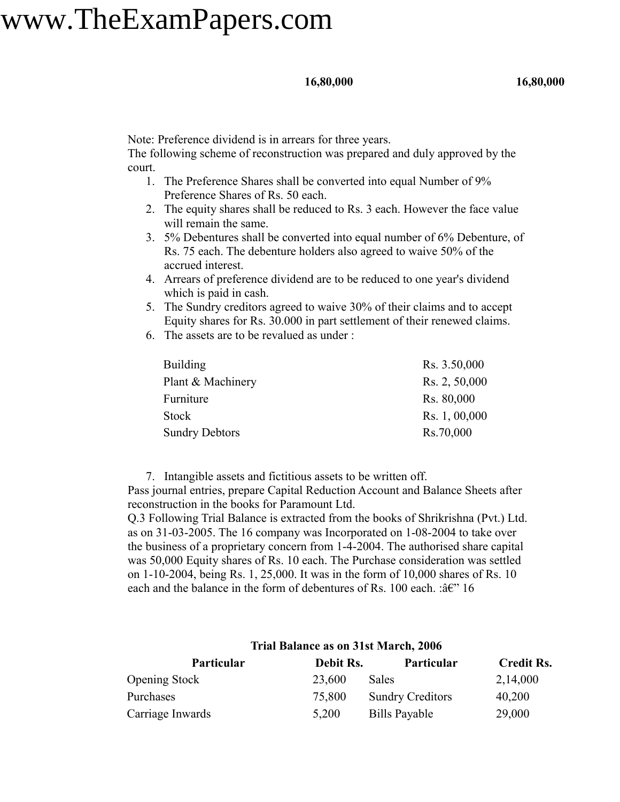#### **16,80,000 16,80,000**

Note: Preference dividend is in arrears for three years.

The following scheme of reconstruction was prepared and duly approved by the court.

- 1. The Preference Shares shall be converted into equal Number of 9% Preference Shares of Rs. 50 each.
- 2. The equity shares shall be reduced to Rs. 3 each. However the face value will remain the same.
- 3. 5% Debentures shall be converted into equal number of 6% Debenture, of Rs. 75 each. The debenture holders also agreed to waive 50% of the accrued interest.
- 4. Arrears of preference dividend are to be reduced to one year's dividend which is paid in cash.
- 5. The Sundry creditors agreed to waive 30% of their claims and to accept Equity shares for Rs. 30.000 in part settlement of their renewed claims.
- 6. The assets are to be revalued as under :

| <b>Building</b>       | Rs. 3.50,000  |
|-----------------------|---------------|
| Plant & Machinery     | Rs. 2, 50,000 |
| Furniture             | Rs. 80,000    |
| <b>Stock</b>          | Rs. 1, 00,000 |
| <b>Sundry Debtors</b> | Rs.70,000     |

7. Intangible assets and fictitious assets to be written off.

Pass journal entries, prepare Capital Reduction Account and Balance Sheets after reconstruction in the books for Paramount Ltd.

Q.3 Following Trial Balance is extracted from the books of Shrikrishna (Pvt.) Ltd. as on 31-03-2005. The 16 company was Incorporated on 1-08-2004 to take over the business of a proprietary concern from 1-4-2004. The authorised share capital was 50,000 Equity shares of Rs. 10 each. The Purchase consideration was settled on 1-10-2004, being Rs. 1, 25,000. It was in the form of 10,000 shares of Rs. 10 each and the balance in the form of debentures of Rs. 100 each. : $\hat{a} \in \mathbb{R}^n$  16

| Trial Balance as on 31st March, 2006 |           |                         |                   |  |  |  |
|--------------------------------------|-----------|-------------------------|-------------------|--|--|--|
| <b>Particular</b>                    | Debit Rs. | <b>Particular</b>       | <b>Credit Rs.</b> |  |  |  |
| <b>Opening Stock</b>                 | 23,600    | Sales                   | 2,14,000          |  |  |  |
| Purchases                            | 75,800    | <b>Sundry Creditors</b> | 40,200            |  |  |  |
| Carriage Inwards                     | 5,200     | Bills Payable           | 29,000            |  |  |  |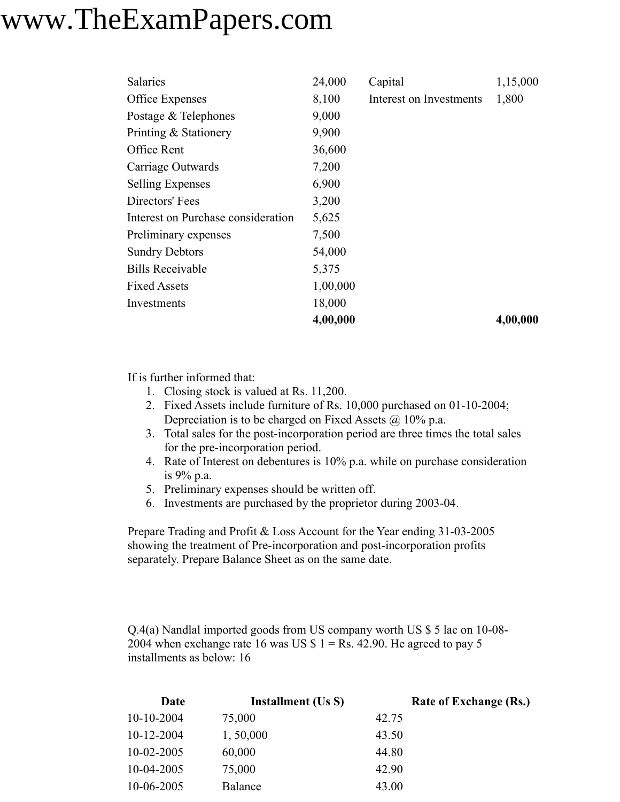| <b>Salaries</b>                    | 24,000   | Capital                 | 1,15,000 |
|------------------------------------|----------|-------------------------|----------|
| Office Expenses                    | 8,100    | Interest on Investments | 1,800    |
| Postage & Telephones               | 9,000    |                         |          |
| Printing & Stationery              | 9,900    |                         |          |
| Office Rent                        | 36,600   |                         |          |
| Carriage Outwards                  | 7,200    |                         |          |
| <b>Selling Expenses</b>            | 6,900    |                         |          |
| Directors' Fees                    | 3,200    |                         |          |
| Interest on Purchase consideration | 5,625    |                         |          |
| Preliminary expenses               | 7,500    |                         |          |
| <b>Sundry Debtors</b>              | 54,000   |                         |          |
| <b>Bills Receivable</b>            | 5,375    |                         |          |
| <b>Fixed Assets</b>                | 1,00,000 |                         |          |
| Investments                        | 18,000   |                         |          |
|                                    | 4,00,000 |                         | 4,00,000 |

If is further informed that:

- 1. Closing stock is valued at Rs. 11,200.
- 2. Fixed Assets include furniture of Rs. 10,000 purchased on 01-10-2004; Depreciation is to be charged on Fixed Assets @ 10% p.a.
- 3. Total sales for the post-incorporation period are three times the total sales for the pre-incorporation period.
- 4. Rate of Interest on debentures is 10% p.a. while on purchase consideration is 9% p.a.
- 5. Preliminary expenses should be written off.
- 6. Investments are purchased by the proprietor during 2003-04.

Prepare Trading and Profit & Loss Account for the Year ending 31-03-2005 showing the treatment of Pre-incorporation and post-incorporation profits separately. Prepare Balance Sheet as on the same date.

Q.4(a) Nandlal imported goods from US company worth US \$ 5 lac on 10-08- 2004 when exchange rate 16 was US  $\$$  1 = Rs. 42.90. He agreed to pay 5 installments as below: 16

| Date             | Installment (Us S) | <b>Rate of Exchange (Rs.)</b> |
|------------------|--------------------|-------------------------------|
| 10-10-2004       | 75,000             | 42.75                         |
| 10-12-2004       | 1,50,000           | 43.50                         |
| $10 - 02 - 2005$ | 60,000             | 44.80                         |
| 10-04-2005       | 75,000             | 42.90                         |
| 10-06-2005       | Balance            | 43.00                         |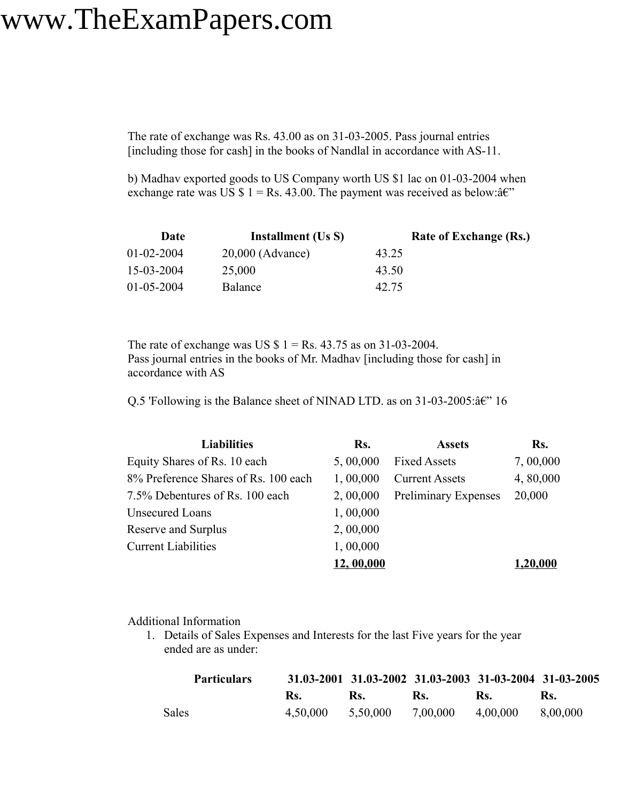The rate of exchange was Rs. 43.00 as on 31-03-2005. Pass journal entries [including those for cash] in the books of Nandlal in accordance with AS-11.

b) Madhav exported goods to US Company worth US \$1 lac on 01-03-2004 when exchange rate was US  $\$$  1 = Rs. 43.00. The payment was received as below: $\hat{a} \in \mathbb{C}^{\times}$ 

| Date       | <b>Installment</b> (Us S) | <b>Rate of Exchange (Rs.)</b> |  |
|------------|---------------------------|-------------------------------|--|
| 01-02-2004 | $20,000$ (Advance)        | 43.25                         |  |
| 15-03-2004 | 25,000                    | 43.50                         |  |
| 01-05-2004 | Balance                   | 42.75                         |  |

The rate of exchange was US  $$1 = Rs. 43.75$  as on 31-03-2004. Pass journal entries in the books of Mr. Madhav [including those for cash] in accordance with AS

Q.5 'Following is the Balance sheet of NINAD LTD. as on  $31-03-2005$ : $\hat{a} \in \mathbb{C}^{\times}$  16

| <b>Liabilities</b>                   | Rs.       | <b>Assets</b>         | Rs.      |
|--------------------------------------|-----------|-----------------------|----------|
| Equity Shares of Rs. 10 each         | 5,00,000  | <b>Fixed Assets</b>   | 7,00,000 |
| 8% Preference Shares of Rs. 100 each | 1,00,000  | <b>Current Assets</b> | 4,80,000 |
| 7.5% Debentures of Rs. 100 each      | 2,00,000  | Preliminary Expenses  | 20,000   |
| Unsecured Loans                      | 1,00,000  |                       |          |
| Reserve and Surplus                  | 2,00,000  |                       |          |
| <b>Current Liabilities</b>           | 1,00,000  |                       |          |
|                                      | 12,00,000 |                       | 1,20,000 |

Additional Information

1. Details of Sales Expenses and Interests for the last Five years for the year ended are as under:

| <b>Particulars</b> |          |                   |     |          | 31,03-2001 31,03-2002 31,03-2003 31-03-2004 31-03-2005 |
|--------------------|----------|-------------------|-----|----------|--------------------------------------------------------|
|                    | Rs.      | Rs.               | Rs. | Ks.      | Rs.                                                    |
| Sales              | 4.50.000 | 5,50,000 7,00,000 |     | 4,00,000 | 8,00,000                                               |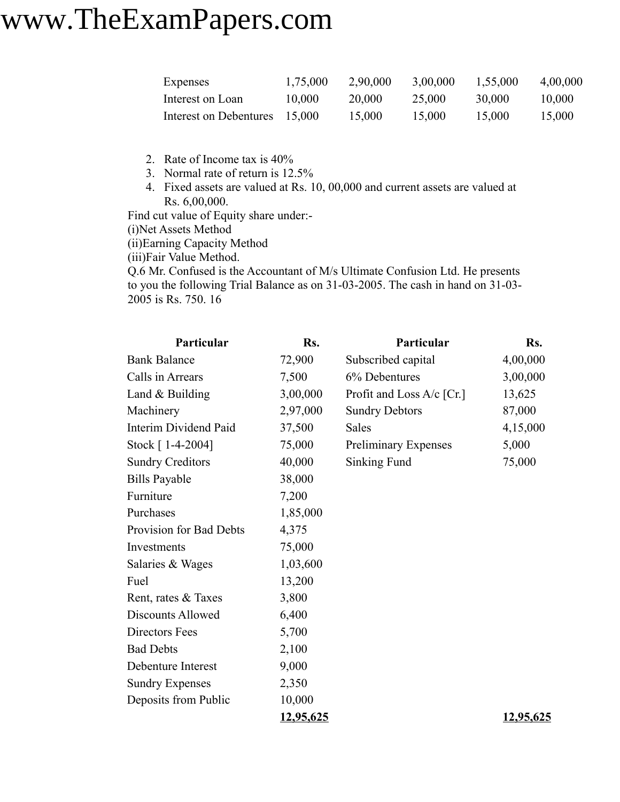| Expenses               | 1,75,000 | 2,90,000 | 3,00,000 | 1,55,000 | 4,00,000 |
|------------------------|----------|----------|----------|----------|----------|
| Interest on Loan       | 10.000   | 20,000   | 25,000   | 30,000   | 10,000   |
| Interest on Debentures | 15.000   | 15,000   | 15.000   | 15,000   | 15,000   |

- 2. Rate of Income tax is 40%
- 3. Normal rate of return is 12.5%
- 4. Fixed assets are valued at Rs. 10, 00,000 and current assets are valued at Rs. 6,00,000.

Find cut value of Equity share under:- (i)Net Assets Method (ii)Earning Capacity Method (iii)Fair Value Method. Q.6 Mr. Confused is the Accountant of M/s Ultimate Confusion Ltd. He presents to you the following Trial Balance as on 31-03-2005. The cash in hand on 31-03- 2005 is Rs. 750. 16

| Particular                   | Rs.       | Particular                  | Rs.              |
|------------------------------|-----------|-----------------------------|------------------|
| <b>Bank Balance</b>          | 72,900    | Subscribed capital          | 4,00,000         |
| Calls in Arrears             | 7,500     | 6% Debentures               | 3,00,000         |
| Land & Building              | 3,00,000  | Profit and Loss $A/c$ [Cr.] | 13,625           |
| Machinery                    | 2,97,000  | <b>Sundry Debtors</b>       | 87,000           |
| <b>Interim Dividend Paid</b> | 37,500    | Sales                       | 4,15,000         |
| Stock [1-4-2004]             | 75,000    | Preliminary Expenses        | 5,000            |
| <b>Sundry Creditors</b>      | 40,000    | Sinking Fund                | 75,000           |
| <b>Bills Payable</b>         | 38,000    |                             |                  |
| Furniture                    | 7,200     |                             |                  |
| Purchases                    | 1,85,000  |                             |                  |
| Provision for Bad Debts      | 4,375     |                             |                  |
| Investments                  | 75,000    |                             |                  |
| Salaries & Wages             | 1,03,600  |                             |                  |
| Fuel                         | 13,200    |                             |                  |
| Rent, rates & Taxes          | 3,800     |                             |                  |
| Discounts Allowed            | 6,400     |                             |                  |
| Directors Fees               | 5,700     |                             |                  |
| <b>Bad Debts</b>             | 2,100     |                             |                  |
| Debenture Interest           | 9,000     |                             |                  |
| <b>Sundry Expenses</b>       | 2,350     |                             |                  |
| Deposits from Public         | 10,000    |                             |                  |
|                              | 12,95,625 |                             | <u>12,95,625</u> |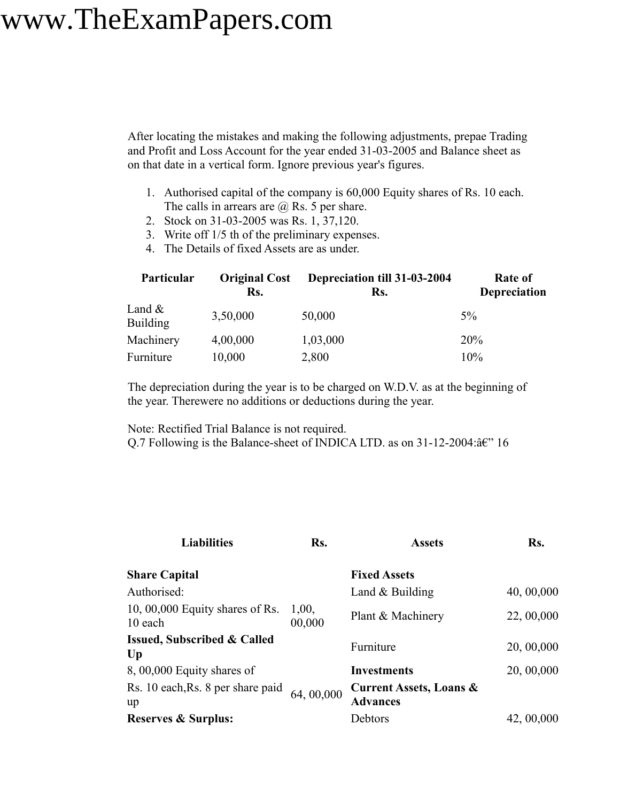After locating the mistakes and making the following adjustments, prepae Trading and Profit and Loss Account for the year ended 31-03-2005 and Balance sheet as on that date in a vertical form. Ignore previous year's figures.

- 1. Authorised capital of the company is 60,000 Equity shares of Rs. 10 each. The calls in arrears are  $(a)$  Rs. 5 per share.
- 2. Stock on 31-03-2005 was Rs. 1, 37,120.
- 3. Write off 1/5 th of the preliminary expenses.
- 4. The Details of fixed Assets are as under.

| <b>Original Cost</b><br>Rs. | <b>Depreciation till 31-03-2004</b><br>Rs. | Rate of<br><b>Depreciation</b> |
|-----------------------------|--------------------------------------------|--------------------------------|
| 3,50,000                    | 50,000                                     | $5\%$                          |
| 4,00,000                    | 1,03,000                                   | 20%                            |
| 10,000                      | 2,800                                      | 10%                            |
|                             |                                            |                                |

The depreciation during the year is to be charged on W.D.V. as at the beginning of the year. Therewere no additions or deductions during the year.

Note: Rectified Trial Balance is not required.

Q.7 Following is the Balance-sheet of INDICA LTD. as on  $31-12-2004$ : $\hat{a} \in C$  16

| <b>Liabilities</b>                           | Rs.             | <b>Assets</b>                                         | Rs.        |
|----------------------------------------------|-----------------|-------------------------------------------------------|------------|
| <b>Share Capital</b>                         |                 | <b>Fixed Assets</b>                                   |            |
| Authorised:                                  |                 | Land $&$ Building                                     | 40, 00,000 |
| 10, 00,000 Equity shares of Rs.<br>10 each   | 1,00,<br>00,000 | Plant & Machinery                                     | 22, 00,000 |
| <b>Issued, Subscribed &amp; Called</b><br>Up |                 | Furniture                                             | 20, 00,000 |
| $8,00,000$ Equity shares of                  |                 | <b>Investments</b>                                    | 20, 00,000 |
| Rs. 10 each, Rs. 8 per share paid<br>up      | 64,00,000       | <b>Current Assets, Loans &amp;</b><br><b>Advances</b> |            |
| <b>Reserves &amp; Surplus:</b>               |                 | Debtors                                               | 42, 00,000 |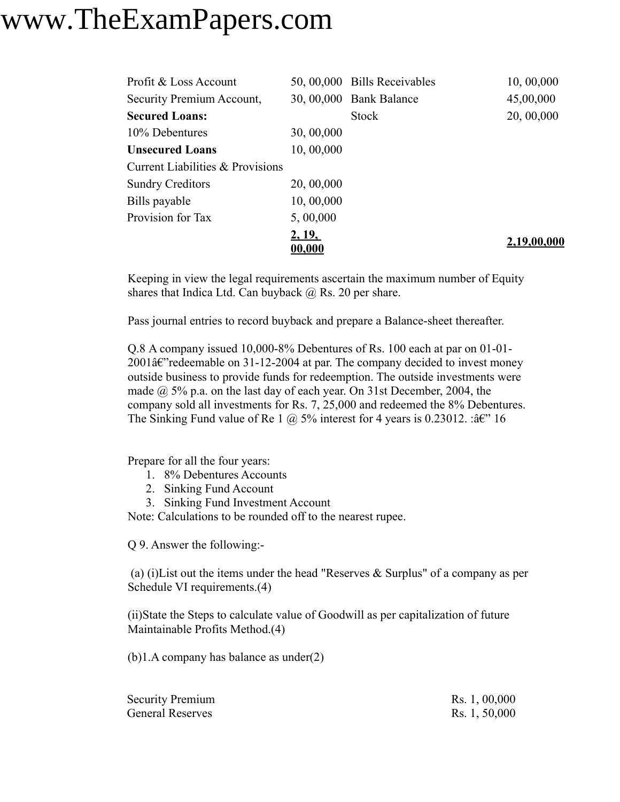| Profit & Loss Account            |                          | 50, 00,000 Bills Receivables | 10, 00,000  |
|----------------------------------|--------------------------|------------------------------|-------------|
| Security Premium Account,        |                          | 30, 00,000 Bank Balance      | 45,00,000   |
| <b>Secured Loans:</b>            |                          | <b>Stock</b>                 | 20, 00,000  |
| 10% Debentures                   | 30, 00,000               |                              |             |
| <b>Unsecured Loans</b>           | 10,00,000                |                              |             |
| Current Liabilities & Provisions |                          |                              |             |
| <b>Sundry Creditors</b>          | 20, 00,000               |                              |             |
| Bills payable                    | 10,00,000                |                              |             |
| Provision for Tax                | 5,00,000                 |                              |             |
|                                  | <u>2, 19, </u><br>00,000 |                              | 2,19,00,000 |

Keeping in view the legal requirements ascertain the maximum number of Equity shares that Indica Ltd. Can buyback  $(a)$  Rs. 20 per share.

Pass journal entries to record buyback and prepare a Balance-sheet thereafter.

Q.8 A company issued 10,000-8% Debentures of Rs. 100 each at par on 01-01-  $2001$ â $\varepsilon$ "redeemable on 31-12-2004 at par. The company decided to invest money outside business to provide funds for redeemption. The outside investments were made @ 5% p.a. on the last day of each year. On 31st December, 2004, the company sold all investments for Rs. 7, 25,000 and redeemed the 8% Debentures. The Sinking Fund value of Re 1  $\omega$  5% interest for 4 years is 0.23012. : $\hat{a} \in \mathbb{C}^{\times}$  16

Prepare for all the four years:

- 1. 8% Debentures Accounts
- 2. Sinking Fund Account
- 3. Sinking Fund Investment Account

Note: Calculations to be rounded off to the nearest rupee.

Q 9. Answer the following:-

(a) (i)List out the items under the head "Reserves & Surplus" of a company as per Schedule VI requirements.(4)

(ii)State the Steps to calculate value of Goodwill as per capitalization of future Maintainable Profits Method.(4)

(b)1.A company has balance as under(2)

| <b>Security Premium</b> | Rs. 1, 00,000 |
|-------------------------|---------------|
| <b>General Reserves</b> | Rs. 1, 50,000 |